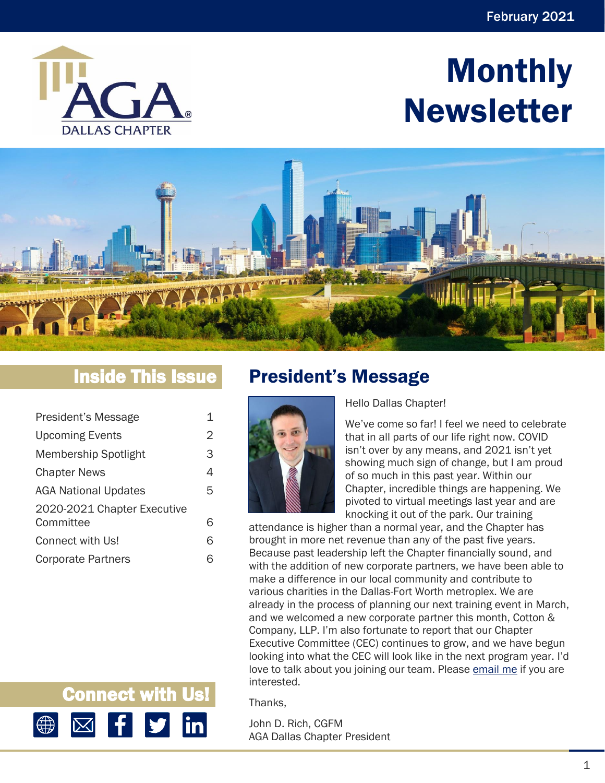

# Monthly Newsletter



# Inside This Issue

| President's Message         | 1 |
|-----------------------------|---|
| <b>Upcoming Events</b>      | 2 |
| Membership Spotlight        | З |
| <b>Chapter News</b>         | 4 |
| <b>AGA National Updates</b> | 5 |
| 2020-2021 Chapter Executive |   |
| Committee                   | 6 |
| Connect with Us!            | 6 |
| <b>Corporate Partners</b>   |   |

# <span id="page-0-0"></span>President's Message



Hello Dallas Chapter!

We've come so far! I feel we need to celebrate that in all parts of our life right now. COVID isn't over by any means, and 2021 isn't yet showing much sign of change, but I am proud of so much in this past year. Within our Chapter, incredible things are happening. We pivoted to virtual meetings last year and are knocking it out of the park. Our training

attendance is higher than a normal year, and the Chapter has brought in more net revenue than any of the past five years. Because past leadership left the Chapter financially sound, and with the addition of new corporate partners, we have been able to make a difference in our local community and contribute to various charities in the Dallas-Fort Worth metroplex. We are already in the process of planning our next training event in March, and we welcomed a new corporate partner this month, Cotton & Company, LLP. I'm also fortunate to report that our Chapter Executive Committee (CEC) continues to grow, and we have begun looking into what the CEC will look like in the next program year. I'd love to talk about you joining our team. Please [email me](mailto:mrrich_us@yahoo.com) if you are interested.

Thanks,

John D. Rich, CGFM AGA Dallas Chapter President

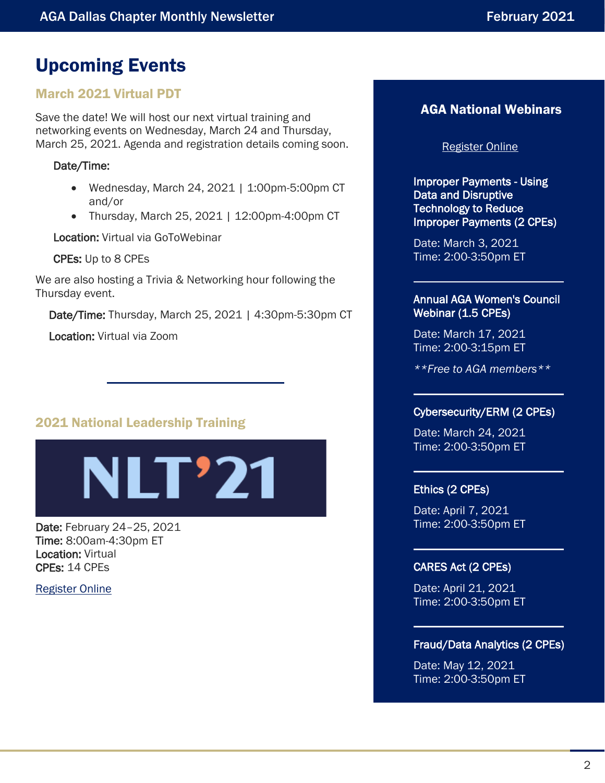# <span id="page-1-0"></span>Upcoming Events

### March 2021 Virtual PDT

Save the date! We will host our next virtual training and networking events on Wednesday, March 24 and Thursday, March 25, 2021. Agenda and registration details coming soon.

#### Date/Time:

- Wednesday, March 24, 2021 | 1:00pm-5:00pm CT and/or
- Thursday, March 25, 2021 | 12:00pm-4:00pm CT

Location: Virtual via GoToWebinar

CPEs: Up to 8 CPEs

We are also hosting a Trivia & Networking hour following the Thursday event.

Date/Time: Thursday, March 25, 2021 | 4:30pm-5:30pm CT

Location: Virtual via Zoom

### 2021 National Leadership Training



Date: February 24–25, 2021 Time: 8:00am-4:30pm ET Location: Virtual CPEs: 14 CPEs

[Register Online](https://www.agacgfm.org/NLT/NLT-Home.aspx)

### AGA National Webinars

#### [Register Online](https://www.agacgfm.org/webinars.aspx)

Improper Payments - Using Data and Disruptive **Technology to Reduce** Improper Payments (2 CPEs)

Date: March 3, 2021 Time: 2:00-3:50pm ET

#### Annual AGA Women's Council Webinar (1.5 CPEs)

Date: March 17, 2021 Time: 2:00-3:15pm ET

*\*\*Free to AGA members\*\**

### Cybersecurity/ERM (2 CPEs)

Date: March 24, 2021 Time: 2:00-3:50pm ET

#### Ethics (2 CPEs)

Date: April 7, 2021 Time: 2:00-3:50pm ET

#### CARES Act (2 CPEs)

Date: April 21, 2021 Time: 2:00-3:50pm ET

#### Fraud/Data Analytics (2 CPEs)

Date: May 12, 2021 Time: 2:00-3:50pm ET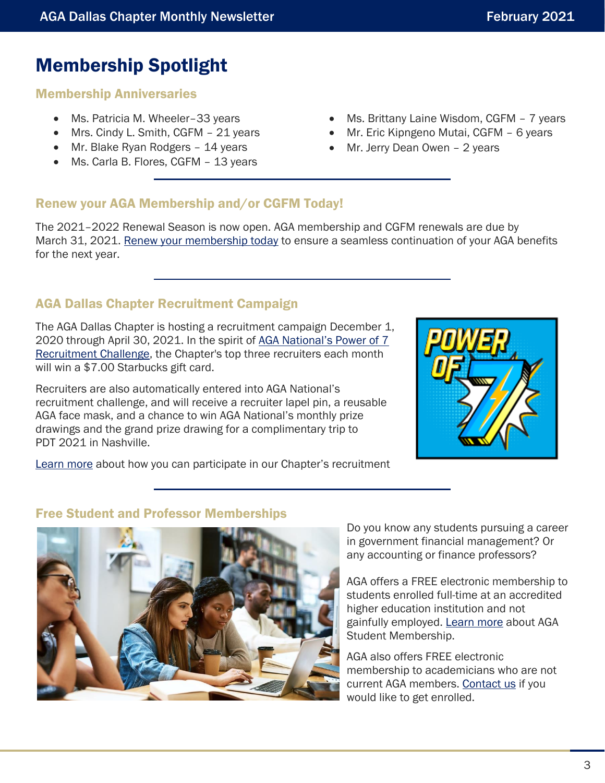### <span id="page-2-0"></span>Membership Spotlight

#### Membership Anniversaries

- Ms. Patricia M. Wheeler-33 years
- Mrs. Cindy L. Smith, CGFM 21 years
- Mr. Blake Ryan Rodgers 14 years
- Ms. Carla B. Flores, CGFM 13 years
- Ms. Brittany Laine Wisdom, CGFM 7 years
- Mr. Eric Kipngeno Mutai, CGFM 6 years
- Mr. Jerry Dean Owen 2 years

#### Renew your AGA Membership and/or CGFM Today!

The 2021–2022 Renewal Season is now open. AGA membership and CGFM renewals are due by March 31, 2021. [Renew your membership today](https://www.agacgfm.org/Membership/Learn-About-AGA/Join-or-Renew.aspx) to ensure a seamless continuation of your AGA benefits for the next year.

### AGA Dallas Chapter Recruitment Campaign

The AGA Dallas Chapter is hosting a recruitment campaign December 1, 2020 through April 30, 2021. In the spirit of [AGA National's Power of 7](https://www.agacgfm.org/Membership/Connect/Recruit-a-Member.aspx)  [Recruitment Challenge,](https://www.agacgfm.org/Membership/Connect/Recruit-a-Member.aspx) the Chapter's top three recruiters each month will win a \$7.00 Starbucks gift card.

Recruiters are also automatically entered into AGA National's recruitment challenge, and will receive a recruiter lapel pin, a reusable AGA face mask, and a chance to win AGA National's monthly prize drawings and the grand prize drawing for a complimentary trip to PDT 2021 in Nashville.



[Learn more](https://www.agacgfm.org/Membership/Connect/Recruit-a-Member.aspx) about how you can participate in our Chapter's recruitment

#### Free Student and Professor Memberships



Do you know any students pursuing a career in government financial management? Or any accounting or finance professors?

AGA offers a FREE electronic membership to students enrolled full-time at an accredited higher education institution and not gainfully employed. [Learn more](https://www.agacgfm.org/Membership/Connect/Students.aspx) about AGA Student Membership.

AGA also offers FREE electronic membership to academicians who are not current AGA members. [Contact us](mailto:agadallaschapter@gmail.com) if you would like to get enrolled.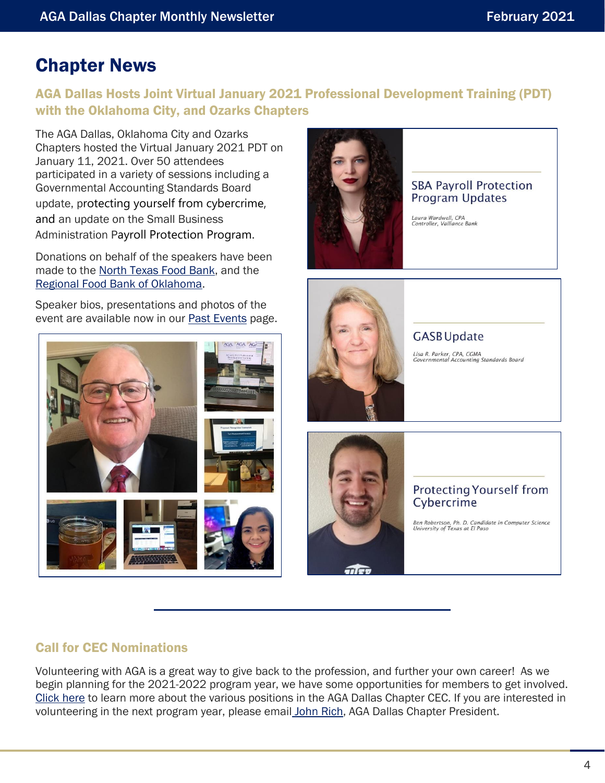### <span id="page-3-0"></span>Chapter News

### AGA Dallas Hosts Joint Virtual January 2021 Professional Development Training (PDT) with the Oklahoma City, and Ozarks Chapters

The AGA Dallas, Oklahoma City and Ozarks Chapters hosted the Virtual January 2021 PDT on January 11, 2021. Over 50 attendees participated in a variety of sessions including a Governmental Accounting Standards Board update, protecting yourself from cybercrime, and an update on the Small Business Administration Payroll Protection Program.

Donations on behalf of the speakers have been made to the [North Texas Food Bank,](https://ntfb.org/) and the [Regional Food Bank of Oklahoma.](https://www.regionalfoodbank.org/)

Speaker bios, presentations and photos of the event are available now in our [Past Events](https://www.agacgfm.org/Chapters/Dallas-Chapter/Training-Events/Past-Events.aspx) page.



#### **SBA Payroll Protection** Program Updates

Laura Wardwell, CPA<br>Controller, Valliance Bank



### **GASB** Update

Lisa R. Parker, CPA, CGMA<br>Governmental Accounting Standards Board





#### **Protecting Yourself from** Cybercrime

Ben Robertson, Ph. D. Candidate in Computer Science<br>University of Texas at El Paso

#### Call for CEC Nominations

Volunteering with AGA is a great way to give back to the profession, and further your own career! As we begin planning for the 2021-2022 program year, we have some opportunities for members to get involved. [Click here](mailto:https://www.agacgfm.org/CMSSiteImages/Chapters/Chapters/Dallas-Chapter/libraries/files/AGA%20Dallas%20Chapter%20Policies%20and%20Procedures_2020.pdf%23page=4) to learn more about the various positions in the AGA Dallas Chapter CEC. If you are interested in volunteering in the next program year, please email [John Rich,](mailto:mrrich_us@yahoo.com) AGA Dallas Chapter President.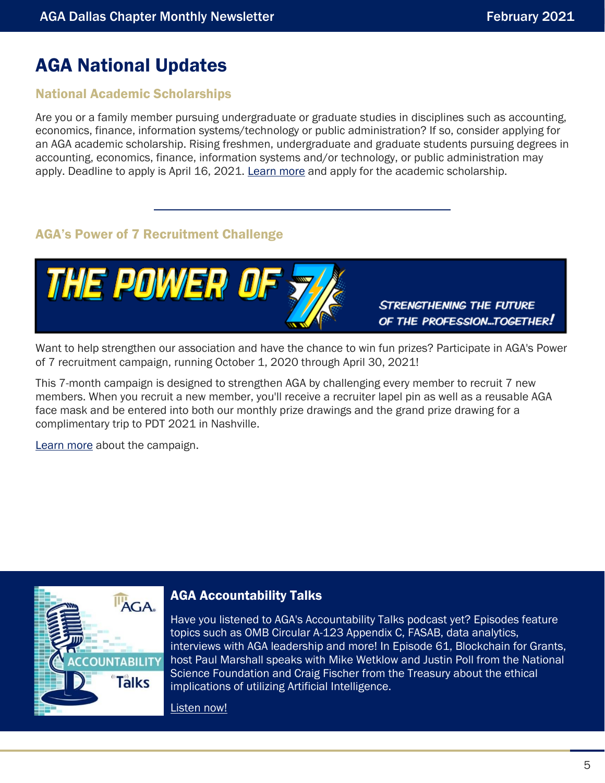# <span id="page-4-0"></span>AGA National Updates

#### National Academic Scholarships

Are you or a family member pursuing undergraduate or graduate studies in disciplines such as accounting, economics, finance, information systems/technology or public administration? If so, consider applying for an AGA academic scholarship. Rising freshmen, undergraduate and graduate students pursuing degrees in accounting, economics, finance, information systems and/or technology, or public administration may apply. Deadline to apply is April 16, 2021. [Learn more](https://www.agacgfm.org/Membership/Connect/Awards-Recognition/Scholarships.aspx) and apply for the academic scholarship.

#### AGA's Power of 7 Recruitment Challenge



Want to help strengthen our association and have the chance to win fun prizes? Participate in AGA's Power of 7 recruitment campaign, running October 1, 2020 through April 30, 2021!

This 7-month campaign is designed to strengthen AGA by challenging every member to recruit 7 new members. When you recruit a new member, you'll receive a recruiter lapel pin as well as a reusable AGA face mask and be entered into both our monthly prize drawings and the grand prize drawing for a complimentary trip to PDT 2021 in Nashville.

[Learn more](https://www.agacgfm.org/Membership/Connect/Recruit-a-Member.aspx) about the campaign.



#### AGA Accountability Talks

Have you listened to AGA's Accountability Talks podcast yet? Episodes feature topics such as OMB Circular A-123 Appendix C, FASAB, data analytics, interviews with AGA leadership and more! In Episode 61, Blockchain for Grants, host Paul Marshall speaks with Mike Wetklow and Justin Poll from the National Science Foundation and Craig Fischer from the Treasury about the ethical implications of utilizing Artificial Intelligence.

[Listen now!](https://www.agacgfm.org/Tools-Resources/Accountability-Talks-Podcast.aspx)